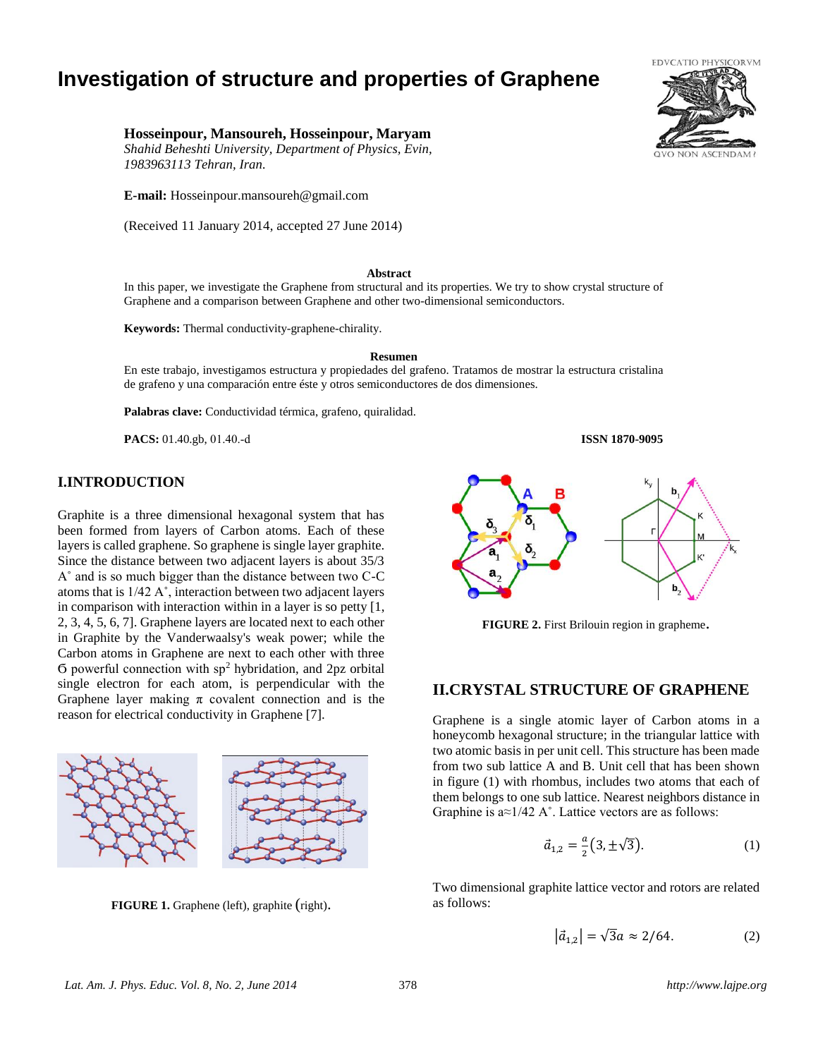# **Investigation of structure and properties of Graphene**

## **Hosseinpour, Mansoureh, Hosseinpour, Maryam**

*Shahid Beheshti University, Department of Physics, Evin, 1983963113 Tehran, Iran.*

**E-mail:** Hosseinpour.mansoureh@gmail.com

(Received 11 January 2014, accepted 27 June 2014)

#### **Abstract**

In this paper, we investigate the Graphene from structural and its properties. We try to show crystal structure of Graphene and a comparison between Graphene and other two-dimensional semiconductors.

**Keywords:** Thermal conductivity-graphene-chirality.

#### **Resumen**

En este trabajo, investigamos estructura y propiedades del grafeno. Tratamos de mostrar la estructura cristalina de grafeno y una comparación entre éste y otros semiconductores de dos dimensiones.

**Palabras clave:** Conductividad térmica, grafeno, quiralidad.

**PACS:** 01.40.gb, 01.40.-d **ISSN 1870-9095**

## **I.INTRODUCTION**

Graphite is a three dimensional hexagonal system that has been formed from layers of Carbon atoms. Each of these layers is called graphene. So graphene is single layer graphite. Since the distance between two adjacent layers is about 35/3 A˚ and is so much bigger than the distance between two C-C atoms that is 1/42 A˚, interaction between two adjacent layers in comparison with interaction within in a layer is so petty [1, 2, 3, 4, 5, 6, 7]. Graphene layers are located next to each other in Graphite by the Vanderwaalsy's weak power; while the Carbon atoms in Graphene are next to each other with three  $\sigma$  powerful connection with sp<sup>2</sup> hybridation, and 2pz orbital single electron for each atom, is perpendicular with the Graphene layer making  $\pi$  covalent connection and is the reason for electrical conductivity in Graphene [7].



**FIGURE 1.** Graphene (left), graphite (right).



**FIGURE 2.** First Brilouin region in grapheme.

# **II.CRYSTAL STRUCTURE OF GRAPHENE**

Graphene is a single atomic layer of Carbon atoms in a honeycomb hexagonal structure; in the triangular lattice with two atomic basis in per unit cell. This structure has been made from two sub lattice A and B. Unit cell that has been shown in figure (1) with rhombus, includes two atoms that each of them belongs to one sub lattice. Nearest neighbors distance in Graphine is  $a \approx 1/42$  A°. Lattice vectors are as follows:

$$
\vec{a}_{1,2} = \frac{a}{2} (3, \pm \sqrt{3}).
$$
 (1)

Two dimensional graphite lattice vector and rotors are related as follows:

$$
|\vec{a}_{1,2}| = \sqrt{3}a \approx 2/64. \tag{2}
$$

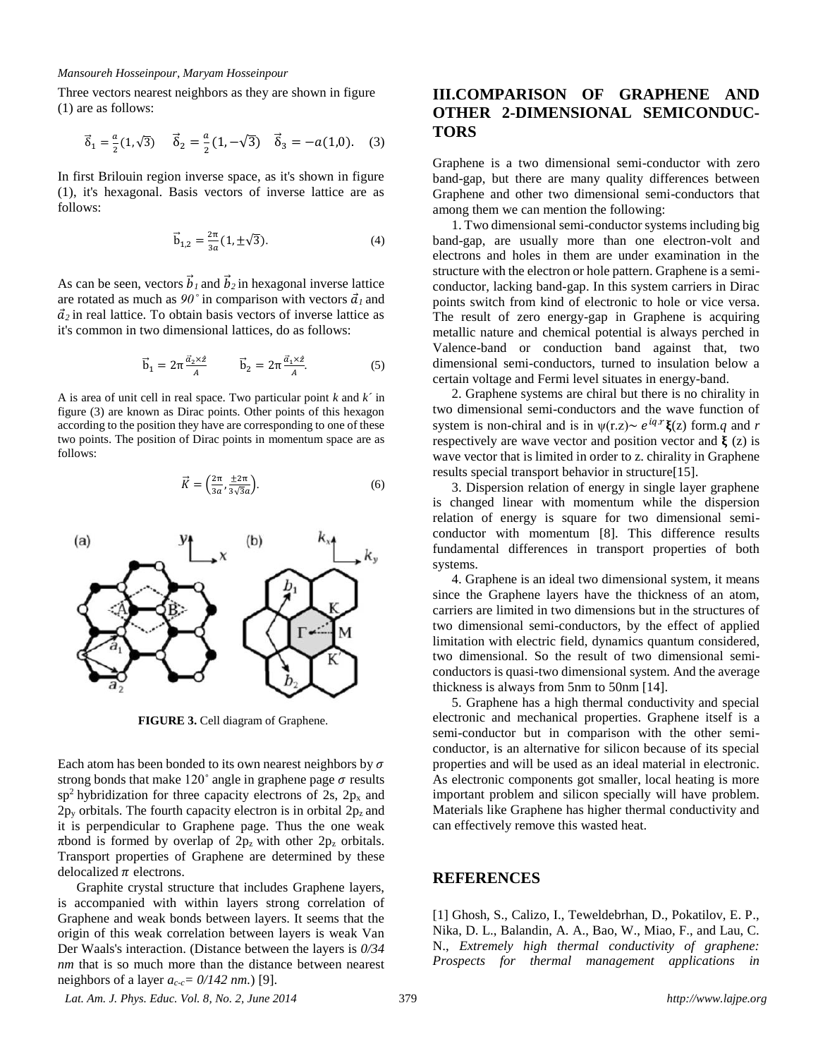#### *Mansoureh Hosseinpour, Maryam Hosseinpour*

Three vectors nearest neighbors as they are shown in figure (1) are as follows:

$$
\vec{\delta}_1 = \frac{a}{2}(1,\sqrt{3}) \qquad \vec{\delta}_2 = \frac{a}{2}(1,-\sqrt{3}) \qquad \vec{\delta}_3 = -a(1,0). \tag{3}
$$

In first Brilouin region inverse space, as it's shown in figure (1), it's hexagonal. Basis vectors of inverse lattice are as follows:

$$
\vec{b}_{1,2} = \frac{2\pi}{3a} (1, \pm \sqrt{3}).
$$
 (4)

As can be seen, vectors  $\vec{b}_l$  and  $\vec{b}_2$  in hexagonal inverse lattice are rotated as much as  $90^\circ$  in comparison with vectors  $\vec{a}_l$  and  $\vec{a}_2$  in real lattice. To obtain basis vectors of inverse lattice as it's common in two dimensional lattices, do as follows:

$$
\vec{b}_1 = 2\pi \frac{\vec{a}_2 \times \hat{z}}{A} \qquad \vec{b}_2 = 2\pi \frac{\vec{a}_1 \times \hat{z}}{A}.
$$
 (5)

A is area of unit cell in real space. Two particular point *k* and *k´* in figure (3) are known as Dirac points. Other points of this hexagon according to the position they have are corresponding to one of these two points. The position of Dirac points in momentum space are as follows:

$$
\vec{K} = \left(\frac{2\pi}{3a}, \frac{\pm 2\pi}{3\sqrt{3}a}\right). \tag{6}
$$



**FIGURE 3.** Cell diagram of Graphene.

Each atom has been bonded to its own nearest neighbors by  $\sigma$ strong bonds that make  $120^\circ$  angle in graphene page  $\sigma$  results  $sp<sup>2</sup>$  hybridization for three capacity electrons of 2s, 2p<sub>x</sub> and  $2p_y$  orbitals. The fourth capacity electron is in orbital  $2p_z$  and it is perpendicular to Graphene page. Thus the one weak πbond is formed by overlap of  $2p_z$  with other  $2p_z$  orbitals. Transport properties of Graphene are determined by these delocalized  $\pi$  electrons.

Graphite crystal structure that includes Graphene layers, is accompanied with within layers strong correlation of Graphene and weak bonds between layers. It seems that the origin of this weak correlation between layers is weak Van Der Waals's interaction. (Distance between the layers is *0/34 nm* that is so much more than the distance between nearest neighbors of a layer  $a_{c-c} = \frac{0}{142}$  nm.) [9].

## **III.COMPARISON OF GRAPHENE AND OTHER 2-DIMENSIONAL SEMICONDUC-TORS**

Graphene is a two dimensional semi-conductor with zero band-gap, but there are many quality differences between Graphene and other two dimensional semi-conductors that among them we can mention the following:

1. Two dimensional semi-conductor systems including big band-gap, are usually more than one electron-volt and electrons and holes in them are under examination in the structure with the electron or hole pattern. Graphene is a semiconductor, lacking band-gap. In this system carriers in Dirac points switch from kind of electronic to hole or vice versa. The result of zero energy-gap in Graphene is acquiring metallic nature and chemical potential is always perched in Valence-band or conduction band against that, two dimensional semi-conductors, turned to insulation below a certain voltage and Fermi level situates in energy-band.

2. Graphene systems are chiral but there is no chirality in two dimensional semi-conductors and the wave function of system is non-chiral and is in  $\psi(r,z) \sim e^{iq.r}\xi(z)$  form.*q* and *r* respectively are wave vector and position vector and  $\hat{\xi}$  (z) is wave vector that is limited in order to z. chirality in Graphene results special transport behavior in structure[15].

3. Dispersion relation of energy in single layer graphene is changed linear with momentum while the dispersion relation of energy is square for two dimensional semiconductor with momentum [8]. This difference results fundamental differences in transport properties of both systems.

4. Graphene is an ideal two dimensional system, it means since the Graphene layers have the thickness of an atom, carriers are limited in two dimensions but in the structures of two dimensional semi-conductors, by the effect of applied limitation with electric field, dynamics quantum considered, two dimensional. So the result of two dimensional semiconductors is quasi-two dimensional system. And the average thickness is always from 5nm to 50nm [14].

5. Graphene has a high thermal conductivity and special electronic and mechanical properties. Graphene itself is a semi-conductor but in comparison with the other semiconductor, is an alternative for silicon because of its special properties and will be used as an ideal material in electronic. As electronic components got smaller, local heating is more important problem and silicon specially will have problem. Materials like Graphene has higher thermal conductivity and can effectively remove this wasted heat.

## **REFERENCES**

[1] Ghosh, S., Calizo, I., Teweldebrhan, D., Pokatilov, E. P., Nika, D. L., Balandin, A. A., Bao, W., Miao, F., and Lau, C. N., *Extremely high thermal conductivity of graphene: Prospects for thermal management applications in* 

*Lat. Am. J. Phys. Educ. Vol. 8, No. 2, June 2014* 379 *http://www.lajpe.org*